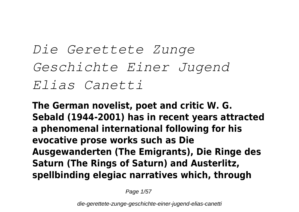*Die Gerettete Zunge Geschichte Einer Jugend Elias Canetti*

**The German novelist, poet and critic W. G. Sebald (1944-2001) has in recent years attracted a phenomenal international following for his evocative prose works such as Die Ausgewanderten (The Emigrants), Die Ringe des Saturn (The Rings of Saturn) and Austerlitz, spellbinding elegiac narratives which, through**

Page 1/57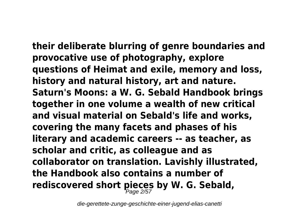**their deliberate blurring of genre boundaries and provocative use of photography, explore questions of Heimat and exile, memory and loss, history and natural history, art and nature. Saturn's Moons: a W. G. Sebald Handbook brings together in one volume a wealth of new critical and visual material on Sebald's life and works, covering the many facets and phases of his literary and academic careers -- as teacher, as scholar and critic, as colleague and as collaborator on translation. Lavishly illustrated, the Handbook also contains a number of rediscovered short pieces by W. G. Sebald,** Page 2/57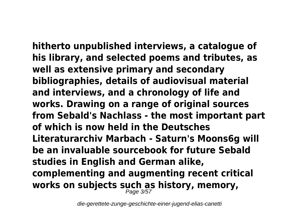**hitherto unpublished interviews, a catalogue of his library, and selected poems and tributes, as well as extensive primary and secondary bibliographies, details of audiovisual material and interviews, and a chronology of life and works. Drawing on a range of original sources from Sebald's Nachlass - the most important part of which is now held in the Deutsches Literaturarchiv Marbach - Saturn's Moons6g will be an invaluable sourcebook for future Sebald studies in English and German alike, complementing and augmenting recent critical works on subjects such as history, memory,** Page 3/57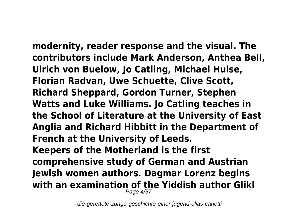**modernity, reader response and the visual. The contributors include Mark Anderson, Anthea Bell, Ulrich von Buelow, Jo Catling, Michael Hulse, Florian Radvan, Uwe Schuette, Clive Scott, Richard Sheppard, Gordon Turner, Stephen Watts and Luke Williams. Jo Catling teaches in the School of Literature at the University of East Anglia and Richard Hibbitt in the Department of French at the University of Leeds. Keepers of the Motherland is the first comprehensive study of German and Austrian Jewish women authors. Dagmar Lorenz begins with an examination of the Yiddish author Glikl** Page 4/57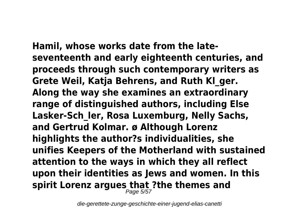**Hamil, whose works date from the lateseventeenth and early eighteenth centuries, and proceeds through such contemporary writers as Grete Weil, Katja Behrens, and Ruth Kl\_ger. Along the way she examines an extraordinary range of distinguished authors, including Else Lasker-Sch\_ler, Rosa Luxemburg, Nelly Sachs, and Gertrud Kolmar. ø Although Lorenz highlights the author?s individualities, she unifies Keepers of the Motherland with sustained attention to the ways in which they all reflect upon their identities as Jews and women. In this spirit Lorenz argues that ?the themes and** Page 5/57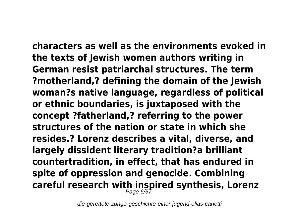**characters as well as the environments evoked in the texts of Jewish women authors writing in German resist patriarchal structures. The term ?motherland,? defining the domain of the Jewish woman?s native language, regardless of political or ethnic boundaries, is juxtaposed with the concept ?fatherland,? referring to the power structures of the nation or state in which she resides.? Lorenz describes a vital, diverse, and largely dissident literary tradition?a brilliant countertradition, in effect, that has endured in spite of oppression and genocide. Combining careful research with inspired synthesis, Lorenz** Page 6/57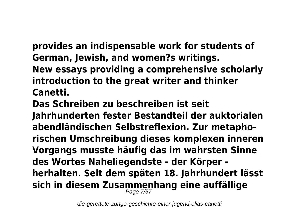**provides an indispensable work for students of German, Jewish, and women?s writings. New essays providing a comprehensive scholarly introduction to the great writer and thinker Canetti.**

**Das Schreiben zu beschreiben ist seit Jahrhunderten fester Bestandteil der auktorialen abendländischen Selbstreflexion. Zur metaphorischen Umschreibung dieses komplexen inneren Vorgangs musste häufig das im wahrsten Sinne des Wortes Naheliegendste - der Körper herhalten. Seit dem späten 18. Jahrhundert lässt sich in diesem Zusammenhang eine auffällige** Page 7/57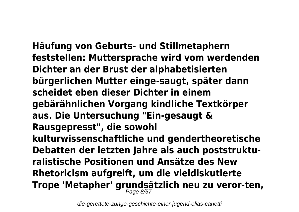**Häufung von Geburts- und Stillmetaphern feststellen: Muttersprache wird vom werdenden Dichter an der Brust der alphabetisierten bürgerlichen Mutter einge-saugt, später dann scheidet eben dieser Dichter in einem gebärähnlichen Vorgang kindliche Textkörper aus. Die Untersuchung "Ein-gesaugt & Rausgepresst", die sowohl kulturwissenschaftliche und gendertheoretische Debatten der letzten Jahre als auch poststrukturalistische Positionen und Ansätze des New Rhetoricism aufgreift, um die vieldiskutierte Trope 'Metapher' grundsätzlich neu zu veror-ten,** Page 8/57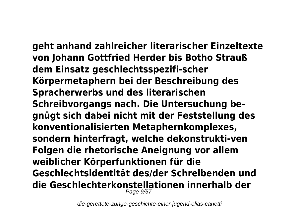**geht anhand zahlreicher literarischer Einzeltexte von Johann Gottfried Herder bis Botho Strauß dem Einsatz geschlechtsspezifi-scher Körpermetaphern bei der Beschreibung des Spracherwerbs und des literarischen Schreibvorgangs nach. Die Untersuchung begnügt sich dabei nicht mit der Feststellung des konventionalisierten Metaphernkomplexes, sondern hinterfragt, welche dekonstrukti-ven Folgen die rhetorische Aneignung vor allem weiblicher Körperfunktionen für die Geschlechtsidentität des/der Schreibenden und die Geschlechterkonstellationen innerhalb der** Page 9/57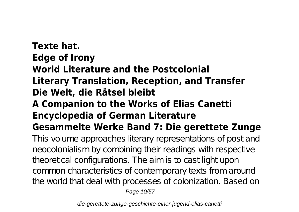# **Texte hat. Edge of Irony World Literature and the Postcolonial Literary Translation, Reception, and Transfer Die Welt, die Rätsel bleibt A Companion to the Works of Elias Canetti Encyclopedia of German Literature Gesammelte Werke Band 7: Die gerettete Zunge**

This volume approaches literary representations of post and neocolonialism by combining their readings with respective theoretical configurations. The aim is to castilight upon common characteristics of contemporary texts from around the world that deal with processes of colonization. Based on

Page 10/57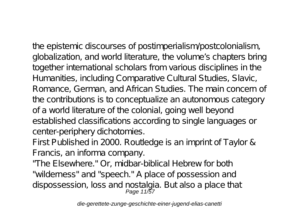the epistemic discourses of postimperialism/postcolonialism, globalization, and world literature, the volume's chapters bring together international scholars from various disciplines in the

Humanities, including Comparative Cultural Studies, Slavic, Romance, German, and African Studies. The main concern of the contributions is to conceptualize an autonomous category of a world literature of the colonial, going well beyond established classifications according to single languages or center-periphery dichotomies.

First Published in 2000. Routledge is an imprint of Taylor & Francis, an informa company.

"The Elsewhere." Or, midbar-biblical Hebrew for both "wilderness" and "speech." A place of possession and dispossession, loss and nostalgia. But also a place that<br>Page 11/57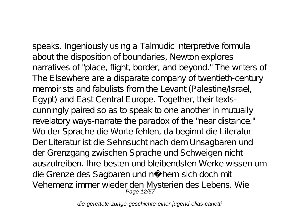speaks. Ingeniously using a Talmudic interpretive formula about the disposition of boundaries, Newton explores narratives of "place, flight, border, and beyond." The writers of The Elsewhere are a disparate company of twentieth-century memoirists and fabulists from the Levant (Palestine/Israel, Egypt) and East Central Europe. Together, their textscunningly paired so as to speak to one another in mutually revelatory ways-narrate the paradox of the "near distance." Wo der Sprache die Worte fehlen, da beginnt die Literatur Der Literatur ist die Sehnsucht nach dem Unsagbaren und der Grenzgang zwischen Sprache und Schweigen nicht auszutreiben. Ihre besten und bleibendsten Werke wissen um die Grenze des Sagbaren und nähern sich doch mit Vehemenz immer wieder den Mysterien des Lebens. Wie Page 12/57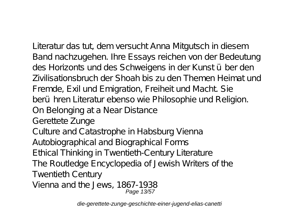Literatur das tut, dem versucht Anna Mitgutsch in diesem Band nachzugehen. Ihre Essays reichen von der Bedeutung des Horizonts und des Schweigens in der Kunst über den Zivilisationsbruch der Shoah bis zu den Themen Heimat und Fremde, Exil und Emigration, Freiheit und Macht. Sie berühren Literatur ebenso wie Philosophie und Religion. On Belonging at a Near Distance Gerettete Zunge Culture and Catastrophe in Habsburg Vienna Autobiographical and Biographical Forms Ethical Thinking in Twentieth-Century Literature The Routledge Encyclopedia of Jewish Writers of the Twentieth Century Vienna and the Jews, 1867-1938 Page 13/57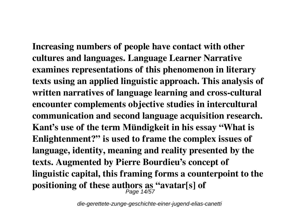**Increasing numbers of people have contact with other cultures and languages. Language Learner Narrative examines representations of this phenomenon in literary texts using an applied linguistic approach. This analysis of written narratives of language learning and cross-cultural encounter complements objective studies in intercultural communication and second language acquisition research. Kant's use of the term Mündigkeit in his essay "What is Enlightenment?" is used to frame the complex issues of language, identity, meaning and reality presented by the texts. Augmented by Pierre Bourdieu's concept of linguistic capital, this framing forms a counterpoint to the positioning of these authors as "avatar[s] of** Page 14/57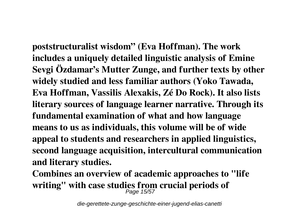**poststructuralist wisdom" (Eva Hoffman). The work includes a uniquely detailed linguistic analysis of Emine Sevgi Özdamar's Mutter Zunge, and further texts by other widely studied and less familiar authors (Yoko Tawada, Eva Hoffman, Vassilis Alexakis, Zé Do Rock). It also lists literary sources of language learner narrative. Through its fundamental examination of what and how language means to us as individuals, this volume will be of wide appeal to students and researchers in applied linguistics, second language acquisition, intercultural communication and literary studies.**

**Combines an overview of academic approaches to "life writing" with case studies from crucial periods of** Page 15/57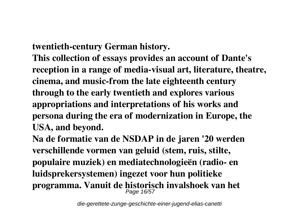**twentieth-century German history.**

**This collection of essays provides an account of Dante's reception in a range of media-visual art, literature, theatre, cinema, and music-from the late eighteenth century through to the early twentieth and explores various appropriations and interpretations of his works and persona during the era of modernization in Europe, the USA, and beyond.**

**Na de formatie van de NSDAP in de jaren '20 werden verschillende vormen van geluid (stem, ruis, stilte, populaire muziek) en mediatechnologieën (radio- en luidsprekersystemen) ingezet voor hun politieke programma. Vanuit de historisch invalshoek van het** Page 16/57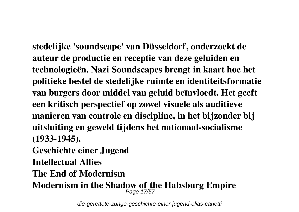**stedelijke 'soundscape' van Düsseldorf, onderzoekt de auteur de productie en receptie van deze geluiden en technologieën. Nazi Soundscapes brengt in kaart hoe het politieke bestel de stedelijke ruimte en identiteitsformatie van burgers door middel van geluid beïnvloedt. Het geeft een kritisch perspectief op zowel visuele als auditieve manieren van controle en discipline, in het bijzonder bij uitsluiting en geweld tijdens het nationaal-socialisme (1933-1945).**

**Geschichte einer Jugend**

**Intellectual Allies**

**The End of Modernism**

**Modernism in the Shadow of the Habsburg Empire** Page 17/57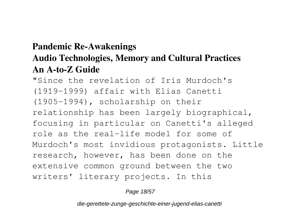## **Pandemic Re-Awakenings Audio Technologies, Memory and Cultural Practices An A-to-Z Guide**

"Since the revelation of Iris Murdoch's (1919-1999) affair with Elias Canetti (1905-1994), scholarship on their relationship has been largely biographical, focusing in particular on Canetti's alleged role as the real-life model for some of Murdoch's most invidious protagonists. Little research, however, has been done on the extensive common ground between the two writers' literary projects. In this

Page 18/57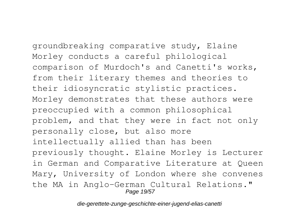groundbreaking comparative study, Elaine Morley conducts a careful philological comparison of Murdoch's and Canetti's works, from their literary themes and theories to their idiosyncratic stylistic practices. Morley demonstrates that these authors were preoccupied with a common philosophical problem, and that they were in fact not only personally close, but also more intellectually allied than has been previously thought. Elaine Morley is Lecturer in German and Comparative Literature at Queen Mary, University of London where she convenes the MA in Anglo-German Cultural Relations."

Page 19/57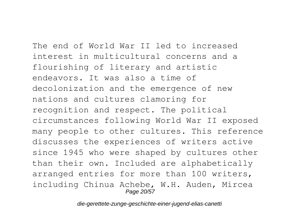The end of World War II led to increased interest in multicultural concerns and a flourishing of literary and artistic endeavors. It was also a time of decolonization and the emergence of new nations and cultures clamoring for recognition and respect. The political circumstances following World War II exposed many people to other cultures. This reference discusses the experiences of writers active since 1945 who were shaped by cultures other than their own. Included are alphabetically arranged entries for more than 100 writers, including Chinua Achebe, W.H. Auden, Mircea Page 20/57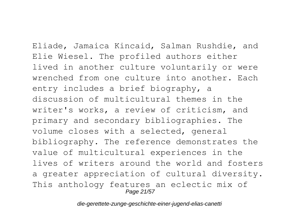Eliade, Jamaica Kincaid, Salman Rushdie, and Elie Wiesel. The profiled authors either lived in another culture voluntarily or were wrenched from one culture into another. Each entry includes a brief biography, a discussion of multicultural themes in the writer's works, a review of criticism, and primary and secondary bibliographies. The volume closes with a selected, general bibliography. The reference demonstrates the value of multicultural experiences in the lives of writers around the world and fosters a greater appreciation of cultural diversity. This anthology features an eclectic mix of Page 21/57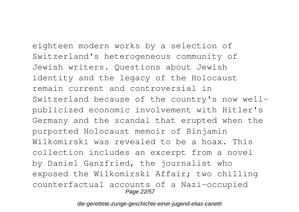eighteen modern works by a selection of Switzerland's heterogeneous community of Jewish writers. Questions about Jewish identity and the legacy of the Holocaust remain current and controversial in Switzerland because of the country's now wellpublicized economic involvement with Hitler's Germany and the scandal that erupted when the purported Holocaust memoir of Binjamin Wilkomirski was revealed to be a hoax. This collection includes an excerpt from a novel by Daniel Ganzfried, the journalist who exposed the Wilkomirski Affair; two chilling counterfactual accounts of a Nazi-occupied Page 22/57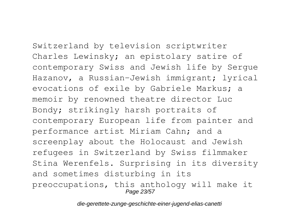Switzerland by television scriptwriter

Charles Lewinsky; an epistolary satire of contemporary Swiss and Jewish life by Sergue Hazanov, a Russian-Jewish immigrant; lyrical evocations of exile by Gabriele Markus; a memoir by renowned theatre director Luc Bondy; strikingly harsh portraits of contemporary European life from painter and performance artist Miriam Cahn; and a screenplay about the Holocaust and Jewish refugees in Switzerland by Swiss filmmaker Stina Werenfels. Surprising in its diversity and sometimes disturbing in its preoccupations, this anthology will make it Page 23/57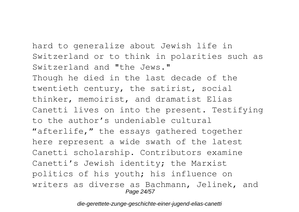hard to generalize about Jewish life in

Switzerland or to think in polarities such as Switzerland and "the Jews." Though he died in the last decade of the twentieth century, the satirist, social thinker, memoirist, and dramatist Elias Canetti lives on into the present. Testifying to the author's undeniable cultural "afterlife," the essays gathered together here represent a wide swath of the latest Canetti scholarship. Contributors examine Canetti's Jewish identity; the Marxist politics of his youth; his influence on writers as diverse as Bachmann, Jelinek, and Page 24/57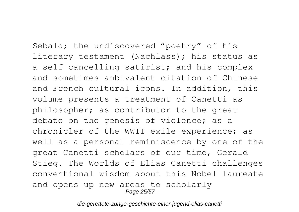Sebald; the undiscovered "poetry" of his literary testament (Nachlass); his status as a self-cancelling satirist; and his complex and sometimes ambivalent citation of Chinese and French cultural icons. In addition, this volume presents a treatment of Canetti as philosopher; as contributor to the great debate on the genesis of violence; as a chronicler of the WWII exile experience; as well as a personal reminiscence by one of the great Canetti scholars of our time, Gerald Stieg. The Worlds of Elias Canetti challenges conventional wisdom about this Nobel laureate and opens up new areas to scholarly Page 25/57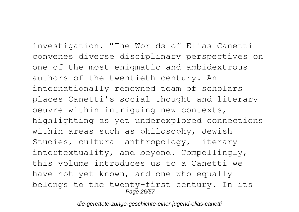investigation. "The Worlds of Elias Canetti convenes diverse disciplinary perspectives on one of the most enigmatic and ambidextrous authors of the twentieth century. An internationally renowned team of scholars places Canetti's social thought and literary oeuvre within intriguing new contexts, highlighting as yet underexplored connections within areas such as philosophy, Jewish Studies, cultural anthropology, literary intertextuality, and beyond. Compellingly, this volume introduces us to a Canetti we have not yet known, and one who equally belongs to the twenty-first century. In its Page 26/57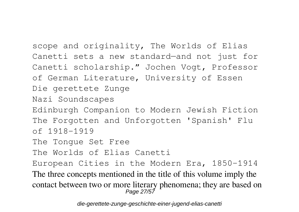scope and originality, The Worlds of Elias Canetti sets a new standard—and not just for Canetti scholarship." Jochen Vogt, Professor of German Literature, University of Essen Die gerettete Zunge Nazi Soundscapes Edinburgh Companion to Modern Jewish Fiction The Forgotten and Unforgotten 'Spanish' Flu of 1918-1919 The Tongue Set Free The Worlds of Elias Canetti European Cities in the Modern Era, 1850-1914 The three concepts mentioned in the title of this volume imply the contact between two or more literary phenomena; they are based on Page 27/57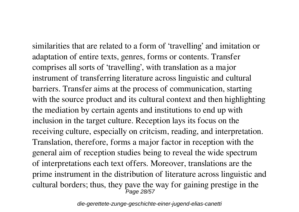similarities that are related to a form of 'travelling' and imitation or adaptation of entire texts, genres, forms or contents. Transfer comprises all sorts of 'travelling', with translation as a major instrument of transferring literature across linguistic and cultural barriers. Transfer aims at the process of communication, starting with the source product and its cultural context and then highlighting the mediation by certain agents and institutions to end up with inclusion in the target culture. Reception lays its focus on the receiving culture, especially on critcism, reading, and interpretation. Translation, therefore, forms a major factor in reception with the general aim of reception studies being to reveal the wide spectrum of interpretations each text offers. Moreover, translations are the prime instrument in the distribution of literature across linguistic and cultural borders; thus, they pave the way for gaining prestige in the r<br>Page 28/57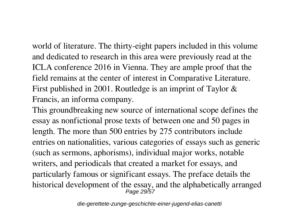world of literature. The thirty-eight papers included in this volume and dedicated to research in this area were previously read at the ICLA conference 2016 in Vienna. They are ample proof that the field remains at the center of interest in Comparative Literature. First published in 2001. Routledge is an imprint of Taylor & Francis, an informa company.

This groundbreaking new source of international scope defines the essay as nonfictional prose texts of between one and 50 pages in length. The more than 500 entries by 275 contributors include entries on nationalities, various categories of essays such as generic (such as sermons, aphorisms), individual major works, notable writers, and periodicals that created a market for essays, and particularly famous or significant essays. The preface details the historical development of the essay, and the alphabetically arranged Page 29/57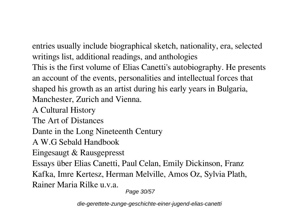entries usually include biographical sketch, nationality, era, selected writings list, additional readings, and anthologies This is the first volume of Elias Canetti's autobiography. He presents an account of the events, personalities and intellectual forces that shaped his growth as an artist during his early years in Bulgaria, Manchester, Zurich and Vienna.

A Cultural History

The Art of Distances

Dante in the Long Nineteenth Century

A W.G Sebald Handbook

Eingesaugt & Rausgepresst

Essays über Elias Canetti, Paul Celan, Emily Dickinson, Franz

Kafka, Imre Kertesz, Herman Melville, Amos Oz, Sylvia Plath, Rainer Maria Rilke u.v.a.

Page 30/57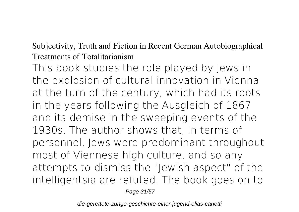### Subjectivity, Truth and Fiction in Recent German Autobiographical Treatments of Totalitarianism

This book studies the role played by Jews in the explosion of cultural innovation in Vienna at the turn of the century, which had its roots in the years following the Ausgleich of 1867 and its demise in the sweeping events of the 1930s. The author shows that, in terms of personnel, Jews were predominant throughout most of Viennese high culture, and so any attempts to dismiss the "Jewish aspect" of the intelligentsia are refuted. The book goes on to

Page 31/57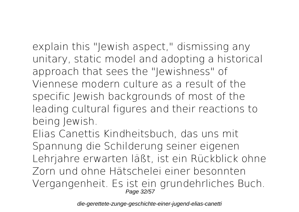explain this "Jewish aspect," dismissing any unitary, static model and adopting a historical approach that sees the "Jewishness" of Viennese modern culture as a result of the specific Jewish backgrounds of most of the leading cultural figures and their reactions to being Jewish.

Elias Canettis Kindheitsbuch, das uns mit Spannung die Schilderung seiner eigenen Lehrjahre erwarten läßt, ist ein Rückblick ohne Zorn und ohne Hätschelei einer besonnten Vergangenheit. Es ist ein grundehrliches Buch. Page 32/57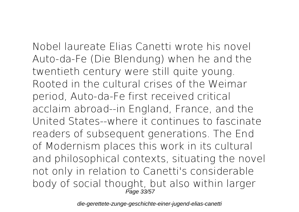Nobel laureate Elias Canetti wrote his novel Auto-da-Fe (Die Blendung) when he and the twentieth century were still quite young. Rooted in the cultural crises of the Weimar period, Auto-da-Fe first received critical acclaim abroad--in England, France, and the United States--where it continues to fascinate readers of subsequent generations. The End of Modernism places this work in its cultural and philosophical contexts, situating the novel not only in relation to Canetti's considerable body of social thought, but also within larger Page 33/57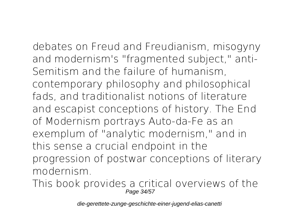debates on Freud and Freudianism, misogyny and modernism's "fragmented subject," anti-Semitism and the failure of humanism, contemporary philosophy and philosophical fads, and traditionalist notions of literature and escapist conceptions of history. The End of Modernism portrays Auto-da-Fe as an exemplum of "analytic modernism," and in this sense a crucial endpoint in the progression of postwar conceptions of literary modernism.

This book provides a critical overviews of the Page 34/57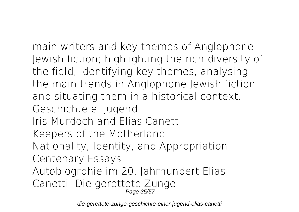main writers and key themes of Anglophone Jewish fiction; highlighting the rich diversity of the field, identifying key themes, analysing the main trends in Anglophone Jewish fiction and situating them in a historical context. Geschichte e. Jugend Iris Murdoch and Elias Canetti Keepers of the Motherland Nationality, Identity, and Appropriation Centenary Essays Autobiogrphie im 20. Jahrhundert Elias Canetti: Die gerettete Zunge Page 35/57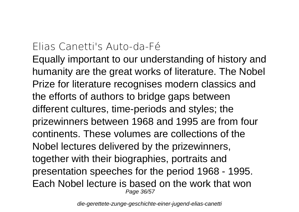## Elias Canetti's Auto-da-Fé

Equally important to our understanding of history and humanity are the great works of literature. The Nobel Prize for literature recognises modern classics and the efforts of authors to bridge gaps between different cultures, time-periods and styles; the prizewinners between 1968 and 1995 are from four continents. These volumes are collections of the Nobel lectures delivered by the prizewinners, together with their biographies, portraits and presentation speeches for the period 1968 - 1995. Each Nobel lecture is based on the work that won Page 36/57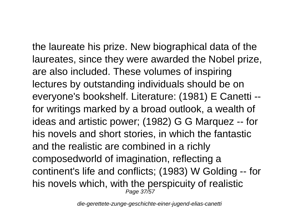the laureate his prize. New biographical data of the laureates, since they were awarded the Nobel prize, are also included. These volumes of inspiring lectures by outstanding individuals should be on everyone's bookshelf. Literature: (1981) E Canetti - for writings marked by a broad outlook, a wealth of ideas and artistic power; (1982) G G Marquez -- for his novels and short stories, in which the fantastic and the realistic are combined in a richly composedworld of imagination, reflecting a continent's life and conflicts; (1983) W Golding -- for his novels which, with the perspicuity of realistic Page 37/57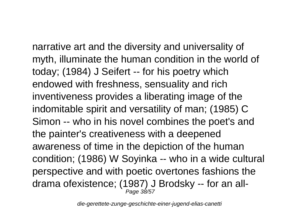narrative art and the diversity and universality of myth, illuminate the human condition in the world of today; (1984) J Seifert -- for his poetry which endowed with freshness, sensuality and rich inventiveness provides a liberating image of the indomitable spirit and versatility of man; (1985) C Simon -- who in his novel combines the poet's and the painter's creativeness with a deepened awareness of time in the depiction of the human condition; (1986) W Soyinka -- who in a wide cultural perspective and with poetic overtones fashions the drama ofexistence; (1987) J Brodsky -- for an all-Page 38/57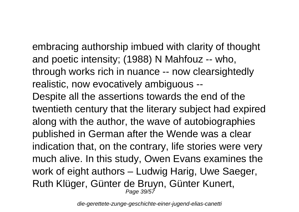embracing authorship imbued with clarity of thought and poetic intensity; (1988) N Mahfouz -- who, through works rich in nuance -- now clearsightedly realistic, now evocatively ambiguous -- Despite all the assertions towards the end of the twentieth century that the literary subject had expired along with the author, the wave of autobiographies published in German after the Wende was a clear indication that, on the contrary, life stories were very much alive. In this study, Owen Evans examines the work of eight authors – Ludwig Harig, Uwe Saeger, Ruth Klüger, Günter de Bruyn, Günter Kunert, Page 39/57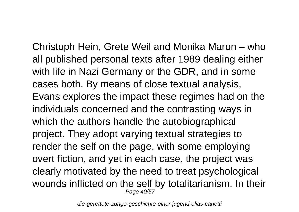Christoph Hein, Grete Weil and Monika Maron – who all published personal texts after 1989 dealing either with life in Nazi Germany or the GDR, and in some cases both. By means of close textual analysis, Evans explores the impact these regimes had on the individuals concerned and the contrasting ways in which the authors handle the autobiographical project. They adopt varying textual strategies to render the self on the page, with some employing overt fiction, and yet in each case, the project was clearly motivated by the need to treat psychological wounds inflicted on the self by totalitarianism. In their Page 40/57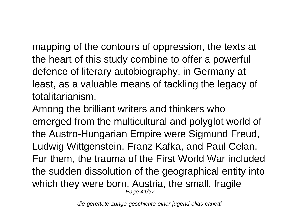mapping of the contours of oppression, the texts at the heart of this study combine to offer a powerful defence of literary autobiography, in Germany at least, as a valuable means of tackling the legacy of totalitarianism.

Among the brilliant writers and thinkers who emerged from the multicultural and polyglot world of the Austro-Hungarian Empire were Sigmund Freud, Ludwig Wittgenstein, Franz Kafka, and Paul Celan. For them, the trauma of the First World War included the sudden dissolution of the geographical entity into which they were born. Austria, the small, fragile Page 41/57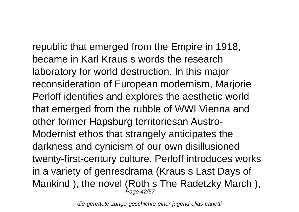republic that emerged from the Empire in 1918, became in Karl Kraus s words the research laboratory for world destruction. In this major reconsideration of European modernism, Marjorie Perloff identifies and explores the aesthetic world that emerged from the rubble of WWI Vienna and other former Hapsburg territoriesan Austro-Modernist ethos that strangely anticipates the darkness and cynicism of our own disillusioned twenty-first-century culture. Perloff introduces works in a variety of genresdrama (Kraus s Last Days of Mankind ), the novel (Roth s The Radetzky March ), Page 42/57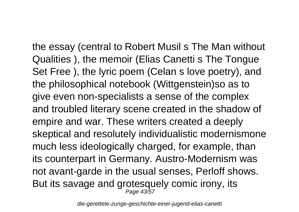the essay (central to Robert Musil s The Man without Qualities ), the memoir (Elias Canetti s The Tongue Set Free ), the lyric poem (Celan s love poetry), and the philosophical notebook (Wittgenstein)so as to give even non-specialists a sense of the complex and troubled literary scene created in the shadow of empire and war. These writers created a deeply skeptical and resolutely individualistic modernismone much less ideologically charged, for example, than its counterpart in Germany. Austro-Modernism was not avant-garde in the usual senses, Perloff shows. But its savage and grotesquely comic irony, its Page 43/57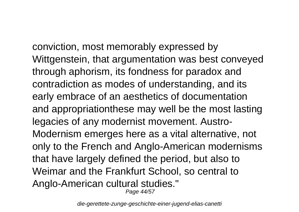conviction, most memorably expressed by Wittgenstein, that argumentation was best conveyed through aphorism, its fondness for paradox and contradiction as modes of understanding, and its early embrace of an aesthetics of documentation and appropriationthese may well be the most lasting legacies of any modernist movement. Austro-Modernism emerges here as a vital alternative, not only to the French and Anglo-American modernisms that have largely defined the period, but also to Weimar and the Frankfurt School, so central to Anglo-American cultural studies." Page 44/57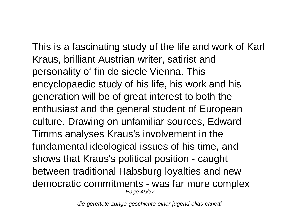This is a fascinating study of the life and work of Karl Kraus, brilliant Austrian writer, satirist and personality of fin de siecle Vienna. This encyclopaedic study of his life, his work and his generation will be of great interest to both the enthusiast and the general student of European culture. Drawing on unfamiliar sources, Edward Timms analyses Kraus's involvement in the fundamental ideological issues of his time, and shows that Kraus's political position - caught between traditional Habsburg loyalties and new democratic commitments - was far more complex Page 45/57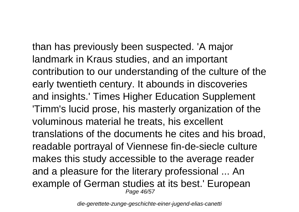than has previously been suspected. 'A major landmark in Kraus studies, and an important contribution to our understanding of the culture of the early twentieth century. It abounds in discoveries and insights.' Times Higher Education Supplement 'Timm's lucid prose, his masterly organization of the voluminous material he treats, his excellent translations of the documents he cites and his broad, readable portrayal of Viennese fin-de-siecle culture makes this study accessible to the average reader and a pleasure for the literary professional ... An example of German studies at its best.' European Page 46/57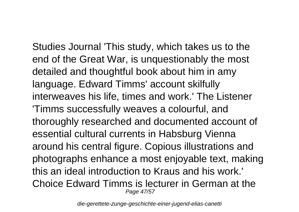Studies Journal 'This study, which takes us to the end of the Great War, is unquestionably the most detailed and thoughtful book about him in amy language. Edward Timms' account skilfully interweaves his life, times and work.' The Listener 'Timms successfully weaves a colourful, and thoroughly researched and documented account of essential cultural currents in Habsburg Vienna around his central figure. Copious illustrations and photographs enhance a most enjoyable text, making this an ideal introduction to Kraus and his work.' Choice Edward Timms is lecturer in German at the Page 47/57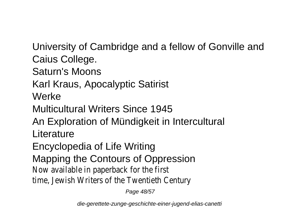University of Cambridge and a fellow of Gonville and Caius College.

Saturn's Moons

Karl Kraus, Apocalyptic Satirist

**Werke** 

Multicultural Writers Since 1945

An Exploration of Mündigkeit in Intercultural Literature

Encyclopedia of Life Writing

Mapping the Contours of Oppression

Now available in paperback for the first

time, Jewish Writers of the Twentieth Century

Page 48/57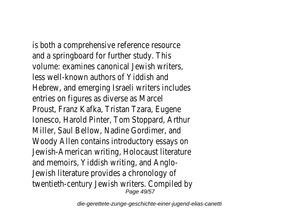is both a comprehensive reference resource and a springboard for further study. This volume: examines canonical Jewish writers, less well-known authors of Yiddish and Hebrew, and emerging Israeli writers includes entries on figures as diverse as Marcel Proust, Franz Kafka, Tristan Tzara, Eugene Ionesco, Harold Pinter, Tom Stoppard, Arthur Miller, Saul Bellow, Nadine Gordimer, and Woody Allen contains introductory essays on Jewish-American writing, Holocaust literature and memoirs, Yiddish writing, and Anglo-Jewish literature provides a chronology of twentieth-century Jewish writers. Compiled by Page 49/57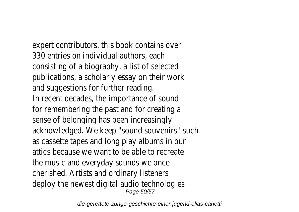expert contributors, this book contains over 330 entries on individual authors, each consisting of a biography, a list of selected publications, a scholarly essay on their work and suggestions for further reading. In recent decades, the importance of sound for remembering the past and for creating a sense of belonging has been increasingly acknowledged. We keep "sound souvenirs" such as cassette tapes and long play albums in our attics because we want to be able to recreate the music and everyday sounds we once cherished. Artists and ordinary listeners deploy the newest digital audio technologies Page 50/57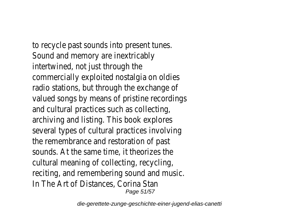to recycle past sounds into present tunes. Sound and memory are inextricably intertwined, not just through the commercially exploited nostalgia on oldies radio stations, but through the exchange of valued songs by means of pristine recordings and cultural practices such as collecting, archiving and listing. This book explores several types of cultural practices involving the remembrance and restoration of past sounds. At the same time, it theorizes the cultural meaning of collecting, recycling, reciting, and remembering sound and music. In The Art of Distances, Corina Stan Page 51/57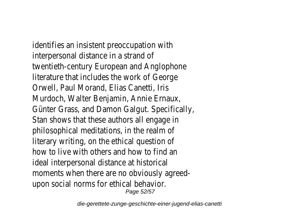identifies an insistent preoccupation with interpersonal distance in a strand of twentieth-century European and Anglophone literature that includes the work of George Orwell, Paul Morand, Elias Canetti, Iris Murdoch, Walter Benjamin, Annie Ernaux, Günter Grass, and Damon Galgut. Specifically, Stan shows that these authors all engage in philosophical meditations, in the realm of literary writing, on the ethical question of how to live with others and how to find an ideal interpersonal distance at historical moments when there are no obviously agreedupon social norms for ethical behavior. Page 52/57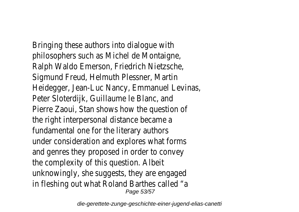Bringing these authors into dialogue with philosophers such as Michel de Montaigne, Ralph Waldo Emerson, Friedrich Nietzsche, Sigmund Freud, Helmuth Plessner, Martin Heidegger, Jean-Luc Nancy, Emmanuel Levinas, Peter Sloterdijk, Guillaume le Blanc, and Pierre Zaoui, Stan shows how the question of the right interpersonal distance became a fundamental one for the literary authors under consideration and explores what forms and genres they proposed in order to convey the complexity of this question. Albeit unknowingly, she suggests, they are engaged in fleshing out what Roland Barthes called "a Page 53/57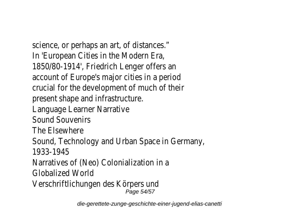science, or perhaps an art, of distances." In 'European Cities in the Modern Era, 1850/80-1914', Friedrich Lenger offers an account of Europe's major cities in a period crucial for the development of much of their present shape and infrastructure. Language Learner Narrative Sound Souvenirs The Elsewhere Sound, Technology and Urban Space in Germany, 1933-1945 Narratives of (Neo) Colonialization in a Globalized World Verschriftlichungen des Körpers und Page 54/57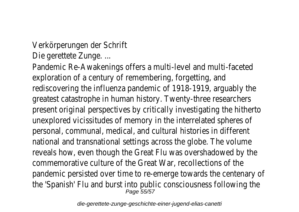Verkörperungen der Schrift Die gerettete Zunge. ...

Pandemic Re-Awakenings offers a multi-level and multi-faceted exploration of a century of remembering, forgetting, and rediscovering the influenza pandemic of 1918-1919, arguably the greatest catastrophe in human history. Twenty-three researchers present original perspectives by critically investigating the hitherto unexplored vicissitudes of memory in the interrelated spheres of personal, communal, medical, and cultural histories in different national and transnational settings across the globe. The volume reveals how, even though the Great Flu was overshadowed by the commemorative culture of the Great War, recollections of the pandemic persisted over time to re-emerge towards the centenary of the 'Spanish' Flu and burst into public consciousness following the Page 55/57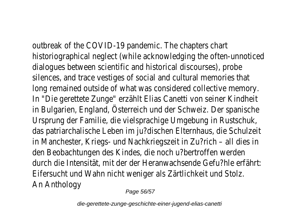outbreak of the COVID-19 pandemic. The chapters chart historiographical neglect (while acknowledging the often-unnoticed dialogues between scientific and historical discourses), probe silences, and trace vestiges of social and cultural memories that long remained outside of what was considered collective memory. In "Die gerettete Zunge" erzählt Elias Canetti von seiner Kindheit in Bulgarien, England, Österreich und der Schweiz. Der spanische Ursprung der Familie, die vielsprachige Umgebung in Rustschuk, das patriarchalische Leben im ju?dischen Elternhaus, die Schulzeit in Manchester, Kriegs- und Nachkriegszeit in Zu?rich – all dies in den Beobachtungen des Kindes, die noch u?bertroffen werden durch die Intensität, mit der der Heranwachsende Gefu?hle erfährt: Eifersucht und Wahn nicht weniger als Zärtlichkeit und Stolz. An Anthology

Page 56/57